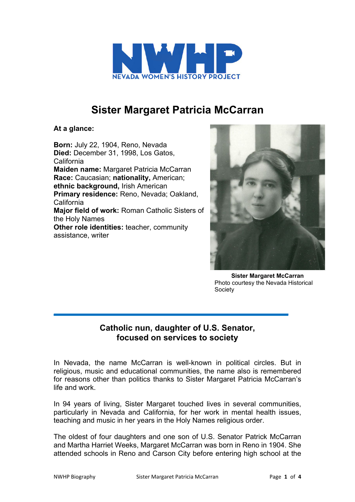

## **Sister Margaret Patricia McCarran**

**At a glance:**

**Born:** July 22, 1904, Reno, Nevada **Died:** December 31, 1998, Los Gatos, California **Maiden name:** Margaret Patricia McCarran **Race:** Caucasian; **nationality,** American; **ethnic background,** Irish American **Primary residence:** Reno, Nevada; Oakland, California **Major field of work:** Roman Catholic Sisters of the Holy Names **Other role identities:** teacher, community assistance, writer



**Sister Margaret McCarran** Photo courtesy the Nevada Historical Society

## **Catholic nun, daughter of U.S. Senator, focused on services to society**

In Nevada, the name McCarran is well-known in political circles. But in religious, music and educational communities, the name also is remembered for reasons other than politics thanks to Sister Margaret Patricia McCarran's life and work.

In 94 years of living, Sister Margaret touched lives in several communities, particularly in Nevada and California, for her work in mental health issues, teaching and music in her years in the Holy Names religious order.

The oldest of four daughters and one son of U.S. Senator Patrick McCarran and Martha Harriet Weeks, Margaret McCarran was born in Reno in 1904. She attended schools in Reno and Carson City before entering high school at the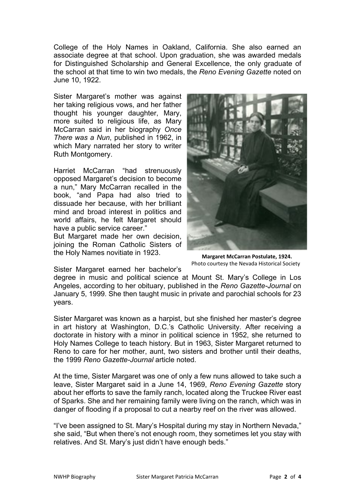College of the Holy Names in Oakland, California. She also earned an associate degree at that school. Upon graduation, she was awarded medals for Distinguished Scholarship and General Excellence, the only graduate of the school at that time to win two medals, the *Reno Evening Gazette* noted on June 10, 1922.

Sister Margaret's mother was against her taking religious vows, and her father thought his younger daughter, Mary, more suited to religious life, as Mary McCarran said in her biography *Once There was a Nun*, published in 1962, in which Mary narrated her story to writer Ruth Montgomery.

Harriet McCarran "had strenuously opposed Margaret's decision to become a nun," Mary McCarran recalled in the book, "and Papa had also tried to dissuade her because, with her brilliant mind and broad interest in politics and world affairs, he felt Margaret should have a public service career."

But Margaret made her own decision, joining the Roman Catholic Sisters of the Holy Names novitiate in 1923.



**Margaret McCarran Postulate, 1924.** Photo courtesy the Nevada Historical Society

Sister Margaret earned her bachelor's

degree in music and political science at Mount St. Mary's College in Los Angeles, according to her obituary, published in the *Reno Gazette-Journal* on January 5, 1999. She then taught music in private and parochial schools for 23 years.

Sister Margaret was known as a harpist, but she finished her master's degree in art history at Washington, D.C.'s Catholic University. After receiving a doctorate in history with a minor in political science in 1952, she returned to Holy Names College to teach history. But in 1963, Sister Margaret returned to Reno to care for her mother, aunt, two sisters and brother until their deaths, the 1999 *Reno Gazette-Journal* article noted.

At the time, Sister Margaret was one of only a few nuns allowed to take such a leave, Sister Margaret said in a June 14, 1969, *Reno Evening Gazette* story about her efforts to save the family ranch, located along the Truckee River east of Sparks. She and her remaining family were living on the ranch, which was in danger of flooding if a proposal to cut a nearby reef on the river was allowed.

"I've been assigned to St. Mary's Hospital during my stay in Northern Nevada," she said, "But when there's not enough room, they sometimes let you stay with relatives. And St. Mary's just didn't have enough beds."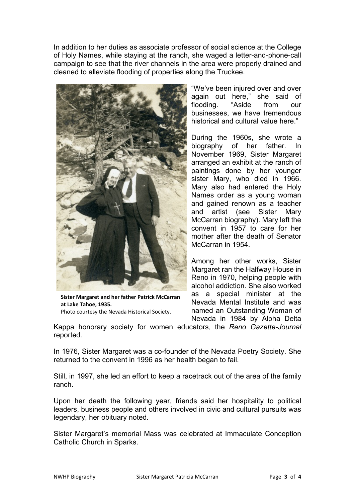In addition to her duties as associate professor of social science at the College of Holy Names, while staying at the ranch, she waged a letter-and-phone-call campaign to see that the river channels in the area were properly drained and cleaned to alleviate flooding of properties along the Truckee.



**Sister Margaret and her father Patrick McCarran at Lake Tahoe, 1935.** Photo courtesy the Nevada Historical Society.

"We've been injured over and over again out here," she said of flooding. "Aside from our businesses, we have tremendous historical and cultural value here."

During the 1960s, she wrote a biography of her father. In November 1969, Sister Margaret arranged an exhibit at the ranch of paintings done by her younger sister Mary, who died in 1966. Mary also had entered the Holy Names order as a young woman and gained renown as a teacher and artist (see Sister Mary McCarran biography). Mary left the convent in 1957 to care for her mother after the death of Senator McCarran in 1954.

Among her other works, Sister Margaret ran the Halfway House in Reno in 1970, helping people with alcohol addiction. She also worked as a special minister at the Nevada Mental Institute and was named an Outstanding Woman of Nevada in 1984 by Alpha Delta

Kappa honorary society for women educators, the *Reno Gazette-Journal* reported.

In 1976, Sister Margaret was a co-founder of the Nevada Poetry Society. She returned to the convent in 1996 as her health began to fail.

Still, in 1997, she led an effort to keep a racetrack out of the area of the family ranch.

Upon her death the following year, friends said her hospitality to political leaders, business people and others involved in civic and cultural pursuits was legendary, her obituary noted.

Sister Margaret's memorial Mass was celebrated at Immaculate Conception Catholic Church in Sparks.